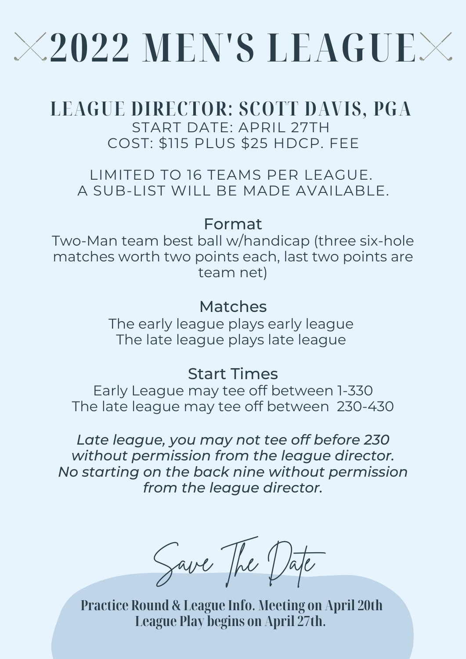# **2022 MEN'S LEAGUE**

# **LEAGUE DIRECTOR: SCOTT DAVIS, PGA**

START DATE: APRIL 27TH COST: \$115 PLUS \$25 HDCP. FEE

LIMITED TO 16 TEAMS PER LEAGUE. A SUB-LIST WILL BE MADE AVAILABLE.

## Format

Two-Man team best ball w/handicap (three six-hole matches worth two points each, last two points are team net)

## Matches

The early league plays early league The late league plays late league

## Start Times

Early League may tee off between 1-330 The late league may tee off between 230-430

*Late league, you may not tee off before 230 without permission from the league director. No starting on the back nine without permission from the league director.*

Save The Date

**Practice Round & League Info. Meeting on April 20th League Play begins on April 27th.**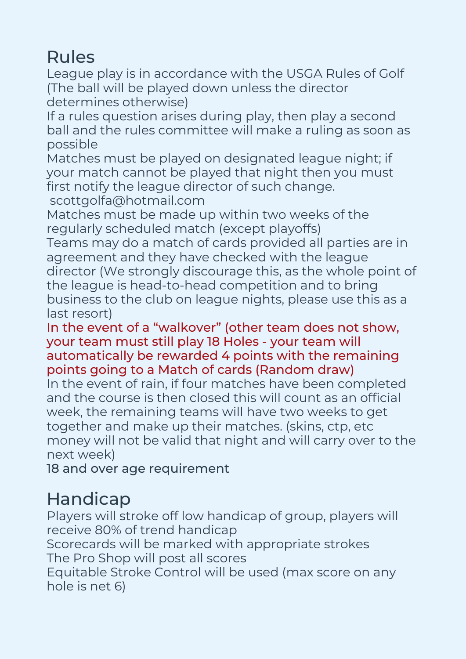## Rules

League play is in accordance with the USGA Rules of Golf (The ball will be played down unless the director determines otherwise)

If a rules question arises during play, then play a second ball and the rules committee will make a ruling as soon as possible

Matches must be played on designated league night; if your match cannot be played that night then you must first notify the league director of such change.

scottgolfa@hotmail.com

Matches must be made up within two weeks of the regularly scheduled match (except playoffs)

Teams may do a match of cards provided all parties are in agreement and they have checked with the league director (We strongly discourage this, as the whole point of the league is head-to-head competition and to bring business to the club on league nights, please use this as a last resort)

#### In the event of a "walkover" (other team does not show, your team must still play 18 Holes - your team will automatically be rewarded 4 points with the remaining points going to a Match of cards (Random draw)

In the event of rain, if four matches have been completed and the course is then closed this will count as an official week, the remaining teams will have two weeks to get together and make up their matches. (skins, ctp, etc money will not be valid that night and will carry over to the next week)

18 and over age requirement

# Handicap

Players will stroke off low handicap of group, players will receive 80% of trend handicap Scorecards will be marked with appropriate strokes The Pro Shop will post all scores Equitable Stroke Control will be used (max score on any hole is net 6)